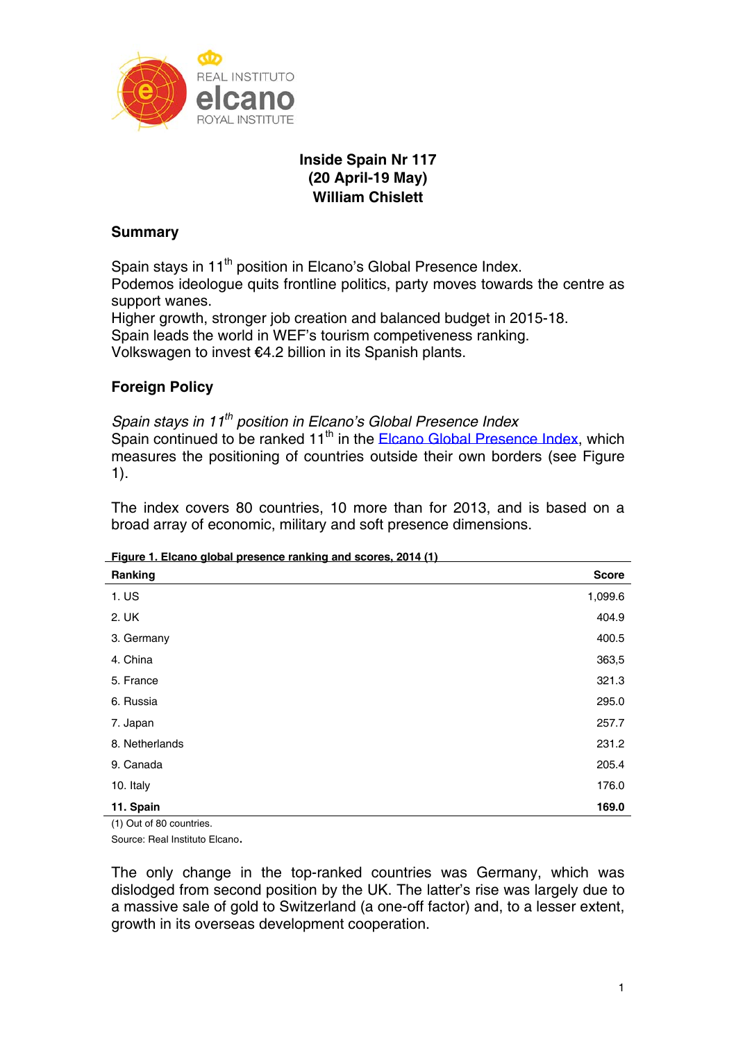

# **Inside Spain Nr 117 (20 April-19 May) William Chislett**

## **Summary**

Spain stays in 11<sup>th</sup> position in Elcano's Global Presence Index. Podemos ideologue quits frontline politics, party moves towards the centre as support wanes.

Higher growth, stronger job creation and balanced budget in 2015-18. Spain leads the world in WEF's tourism competiveness ranking. Volkswagen to invest €4.2 billion in its Spanish plants.

# **Foreign Policy**

*Spain stays in 11th position in Elcano's Global Presence Index*  Spain continued to be ranked  $11<sup>th</sup>$  in the Elcano Global Presence Index, which measures the positioning of countries outside their own borders (see Figure 1).

The index covers 80 countries, 10 more than for 2013, and is based on a broad array of economic, military and soft presence dimensions.

|  | Figure 1. Elcano global presence ranking and scores, 2014 (1) |  |
|--|---------------------------------------------------------------|--|
|  |                                                               |  |

| Ranking        | <b>Score</b> |
|----------------|--------------|
| 1. US          | 1,099.6      |
| 2. UK          | 404.9        |
| 3. Germany     | 400.5        |
| 4. China       | 363,5        |
| 5. France      | 321.3        |
| 6. Russia      | 295.0        |
| 7. Japan       | 257.7        |
| 8. Netherlands | 231.2        |
| 9. Canada      | 205.4        |
| 10. Italy      | 176.0        |
| 11. Spain      | 169.0        |

(1) Out of 80 countries.

Source: Real Instituto Elcano.

The only change in the top-ranked countries was Germany, which was dislodged from second position by the UK. The latter's rise was largely due to a massive sale of gold to Switzerland (a one-off factor) and, to a lesser extent, growth in its overseas development cooperation.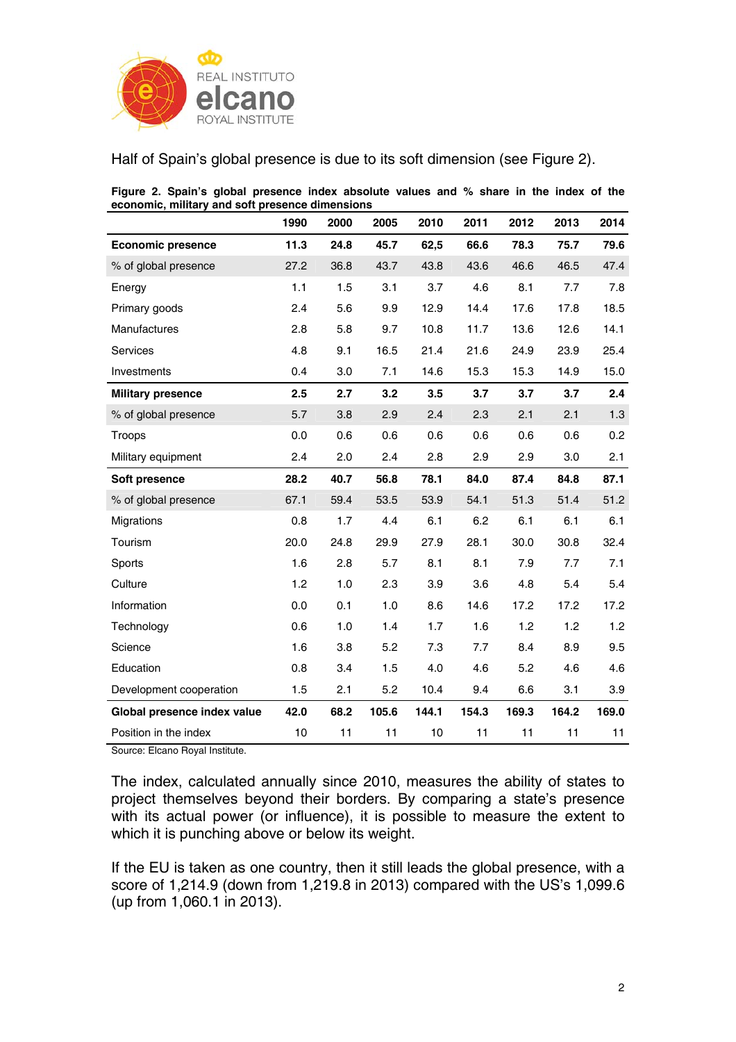

Half of Spain's global presence is due to its soft dimension (see Figure 2).

| economic, military and soft presence dimensions |      |      |       |       |       |       |       |       |
|-------------------------------------------------|------|------|-------|-------|-------|-------|-------|-------|
|                                                 | 1990 | 2000 | 2005  | 2010  | 2011  | 2012  | 2013  | 2014  |
| <b>Economic presence</b>                        | 11.3 | 24.8 | 45.7  | 62,5  | 66.6  | 78.3  | 75.7  | 79.6  |
| % of global presence                            | 27.2 | 36.8 | 43.7  | 43.8  | 43.6  | 46.6  | 46.5  | 47.4  |
| Energy                                          | 1.1  | 1.5  | 3.1   | 3.7   | 4.6   | 8.1   | 7.7   | 7.8   |
| Primary goods                                   | 2.4  | 5.6  | 9.9   | 12.9  | 14.4  | 17.6  | 17.8  | 18.5  |
| <b>Manufactures</b>                             | 2.8  | 5.8  | 9.7   | 10.8  | 11.7  | 13.6  | 12.6  | 14.1  |
| Services                                        | 4.8  | 9.1  | 16.5  | 21.4  | 21.6  | 24.9  | 23.9  | 25.4  |
| Investments                                     | 0.4  | 3.0  | 7.1   | 14.6  | 15.3  | 15.3  | 14.9  | 15.0  |
| <b>Military presence</b>                        | 2.5  | 2.7  | 3.2   | 3.5   | 3.7   | 3.7   | 3.7   | 2.4   |
| % of global presence                            | 5.7  | 3.8  | 2.9   | 2.4   | 2.3   | 2.1   | 2.1   | 1.3   |
| Troops                                          | 0.0  | 0.6  | 0.6   | 0.6   | 0.6   | 0.6   | 0.6   | 0.2   |
| Military equipment                              | 2.4  | 2.0  | 2.4   | 2.8   | 2.9   | 2.9   | 3.0   | 2.1   |
| Soft presence                                   | 28.2 | 40.7 | 56.8  | 78.1  | 84.0  | 87.4  | 84.8  | 87.1  |
| % of global presence                            | 67.1 | 59.4 | 53.5  | 53.9  | 54.1  | 51.3  | 51.4  | 51.2  |
| Migrations                                      | 0.8  | 1.7  | 4.4   | 6.1   | 6.2   | 6.1   | 6.1   | 6.1   |
| Tourism                                         | 20.0 | 24.8 | 29.9  | 27.9  | 28.1  | 30.0  | 30.8  | 32.4  |
| Sports                                          | 1.6  | 2.8  | 5.7   | 8.1   | 8.1   | 7.9   | 7.7   | 7.1   |
| Culture                                         | 1.2  | 1.0  | 2.3   | 3.9   | 3.6   | 4.8   | 5.4   | 5.4   |
| Information                                     | 0.0  | 0.1  | 1.0   | 8.6   | 14.6  | 17.2  | 17.2  | 17.2  |
| Technology                                      | 0.6  | 1.0  | 1.4   | 1.7   | 1.6   | 1.2   | 1.2   | 1.2   |
| Science                                         | 1.6  | 3.8  | 5.2   | 7.3   | 7.7   | 8.4   | 8.9   | 9.5   |
| Education                                       | 0.8  | 3.4  | 1.5   | 4.0   | 4.6   | 5.2   | 4.6   | 4.6   |
| Development cooperation                         | 1.5  | 2.1  | 5.2   | 10.4  | 9.4   | 6.6   | 3.1   | 3.9   |
| Global presence index value                     | 42.0 | 68.2 | 105.6 | 144.1 | 154.3 | 169.3 | 164.2 | 169.0 |
| Position in the index                           | 10   | 11   | 11    | 10    | 11    | 11    | 11    | 11    |

**Figure 2. Spain's global presence index absolute values and % share in the index of the economic, military and soft presence dimensions** 

Source: Elcano Royal Institute.

The index, calculated annually since 2010, measures the ability of states to project themselves beyond their borders. By comparing a state's presence with its actual power (or influence), it is possible to measure the extent to which it is punching above or below its weight.

If the EU is taken as one country, then it still leads the global presence, with a score of 1,214.9 (down from 1,219.8 in 2013) compared with the US's 1,099.6 (up from 1,060.1 in 2013).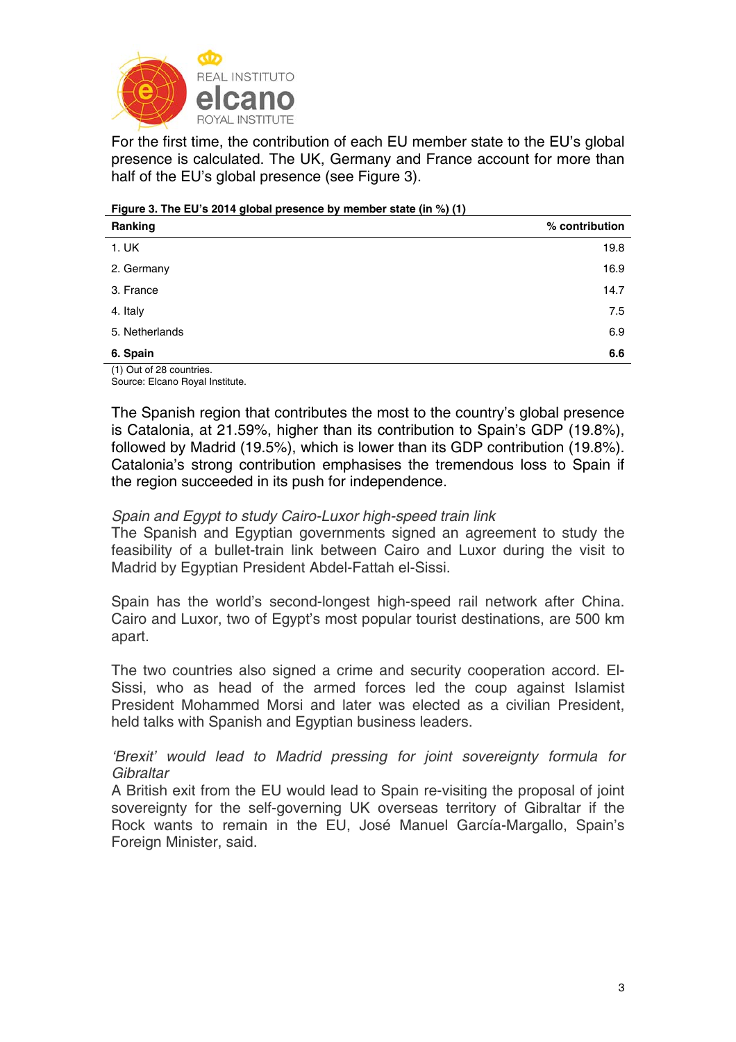

For the first time, the contribution of each EU member state to the EU's global presence is calculated. The UK, Germany and France account for more than half of the EU's global presence (see Figure 3).

| Figure 3. The EU's 2014 global presence by member state (in %) (1) |  |  |  |
|--------------------------------------------------------------------|--|--|--|
|                                                                    |  |  |  |

| Ranking                                            | % contribution |
|----------------------------------------------------|----------------|
| 1. UK                                              | 19.8           |
| 2. Germany                                         | 16.9           |
| 3. France                                          | 14.7           |
| 4. Italy                                           | 7.5            |
| 5. Netherlands                                     | 6.9            |
| 6. Spain                                           | 6.6            |
| $(1)$ $\bigcap_{x \in \mathbb{R}}$ of 00 countries |                |

(1) Out of 28 countries. Source: Elcano Royal Institute.

The Spanish region that contributes the most to the country's global presence is Catalonia, at 21.59%, higher than its contribution to Spain's GDP (19.8%), followed by Madrid (19.5%), which is lower than its GDP contribution (19.8%). Catalonia's strong contribution emphasises the tremendous loss to Spain if the region succeeded in its push for independence.

## *Spain and Egypt to study Cairo-Luxor high-speed train link*

The Spanish and Egyptian governments signed an agreement to study the feasibility of a bullet-train link between Cairo and Luxor during the visit to Madrid by Egyptian President Abdel-Fattah el-Sissi.

Spain has the world's second-longest high-speed rail network after China. Cairo and Luxor, two of Egypt's most popular tourist destinations, are 500 km apart.

The two countries also signed a crime and security cooperation accord. El-Sissi, who as head of the armed forces led the coup against Islamist President Mohammed Morsi and later was elected as a civilian President, held talks with Spanish and Egyptian business leaders.

*'Brexit' would lead to Madrid pressing for joint sovereignty formula for Gibraltar* 

A British exit from the EU would lead to Spain re-visiting the proposal of joint sovereignty for the self-governing UK overseas territory of Gibraltar if the Rock wants to remain in the EU, José Manuel García-Margallo, Spain's Foreign Minister, said.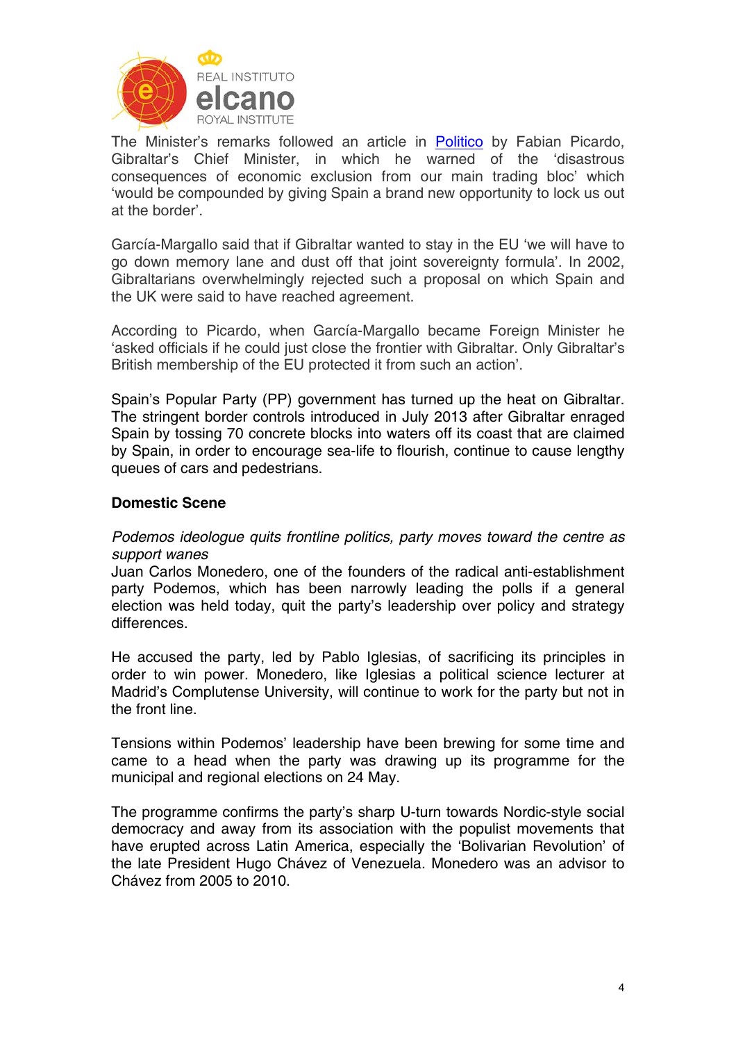

The Minister's remarks followed an article in Politico by Fabian Picardo, Gibraltar's Chief Minister, in which he warned of the 'disastrous consequences of economic exclusion from our main trading bloc' which 'would be compounded by giving Spain a brand new opportunity to lock us out at the border'.

García-Margallo said that if Gibraltar wanted to stay in the EU 'we will have to go down memory lane and dust off that joint sovereignty formula'. In 2002, Gibraltarians overwhelmingly rejected such a proposal on which Spain and the UK were said to have reached agreement.

According to Picardo, when García-Margallo became Foreign Minister he 'asked officials if he could just close the frontier with Gibraltar. Only Gibraltar's British membership of the EU protected it from such an action'.

Spain's Popular Party (PP) government has turned up the heat on Gibraltar. The stringent border controls introduced in July 2013 after Gibraltar enraged Spain by tossing 70 concrete blocks into waters off its coast that are claimed by Spain, in order to encourage sea-life to flourish, continue to cause lengthy queues of cars and pedestrians.

## **Domestic Scene**

## *Podemos ideologue quits frontline politics, party moves toward the centre as support wanes*

Juan Carlos Monedero, one of the founders of the radical anti-establishment party Podemos, which has been narrowly leading the polls if a general election was held today, quit the party's leadership over policy and strategy differences.

He accused the party, led by Pablo Iglesias, of sacrificing its principles in order to win power. Monedero, like Iglesias a political science lecturer at Madrid's Complutense University, will continue to work for the party but not in the front line.

Tensions within Podemos' leadership have been brewing for some time and came to a head when the party was drawing up its programme for the municipal and regional elections on 24 May.

The programme confirms the party's sharp U-turn towards Nordic-style social democracy and away from its association with the populist movements that have erupted across Latin America, especially the 'Bolivarian Revolution' of the late President Hugo Chávez of Venezuela. Monedero was an advisor to Chávez from 2005 to 2010.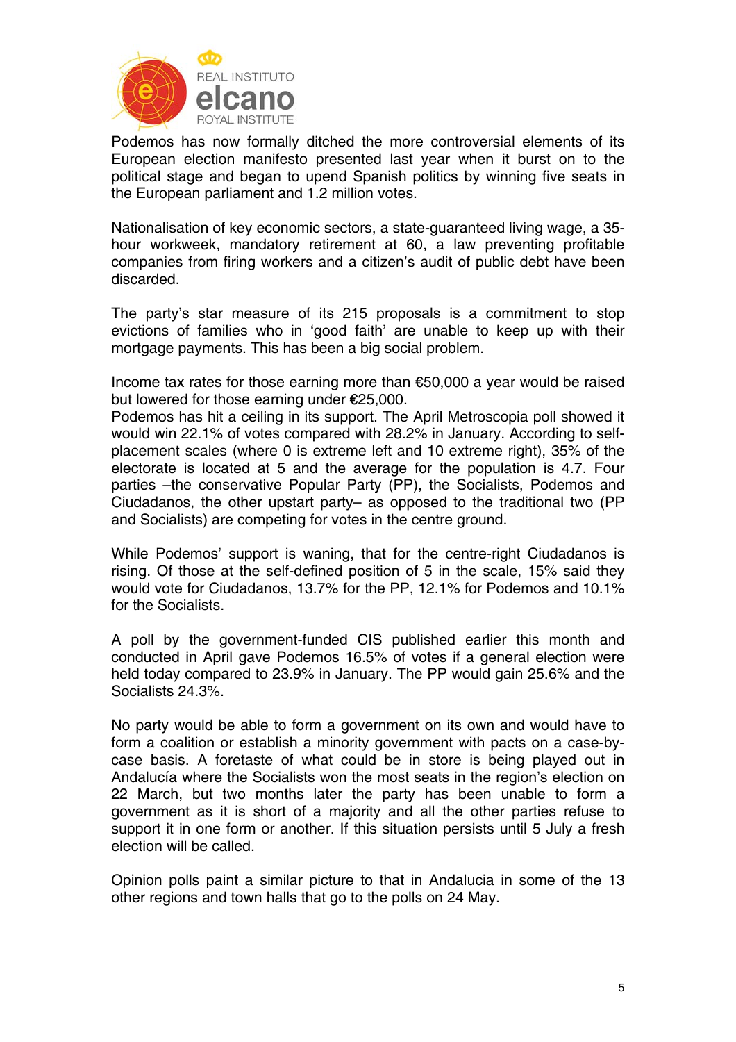

Podemos has now formally ditched the more controversial elements of its European election manifesto presented last year when it burst on to the political stage and began to upend Spanish politics by winning five seats in the European parliament and 1.2 million votes.

Nationalisation of key economic sectors, a state-guaranteed living wage, a 35 hour workweek, mandatory retirement at 60, a law preventing profitable companies from firing workers and a citizen's audit of public debt have been discarded.

The party's star measure of its 215 proposals is a commitment to stop evictions of families who in 'good faith' are unable to keep up with their mortgage payments. This has been a big social problem.

Income tax rates for those earning more than €50,000 a year would be raised but lowered for those earning under €25,000.

Podemos has hit a ceiling in its support. The April Metroscopia poll showed it would win 22.1% of votes compared with 28.2% in January. According to selfplacement scales (where 0 is extreme left and 10 extreme right), 35% of the electorate is located at 5 and the average for the population is 4.7. Four parties -the conservative Popular Party (PP), the Socialists, Podemos and Ciudadanos, the other upstart party– as opposed to the traditional two (PP and Socialists) are competing for votes in the centre ground.

While Podemos' support is waning, that for the centre-right Ciudadanos is rising. Of those at the self-defined position of 5 in the scale, 15% said they would vote for Ciudadanos, 13.7% for the PP, 12.1% for Podemos and 10.1% for the Socialists.

A poll by the government-funded CIS published earlier this month and conducted in April gave Podemos 16.5% of votes if a general election were held today compared to 23.9% in January. The PP would gain 25.6% and the Socialists 24.3%.

No party would be able to form a government on its own and would have to form a coalition or establish a minority government with pacts on a case-bycase basis. A foretaste of what could be in store is being played out in Andalucía where the Socialists won the most seats in the region's election on 22 March, but two months later the party has been unable to form a government as it is short of a majority and all the other parties refuse to support it in one form or another. If this situation persists until 5 July a fresh election will be called.

Opinion polls paint a similar picture to that in Andalucia in some of the 13 other regions and town halls that go to the polls on 24 May.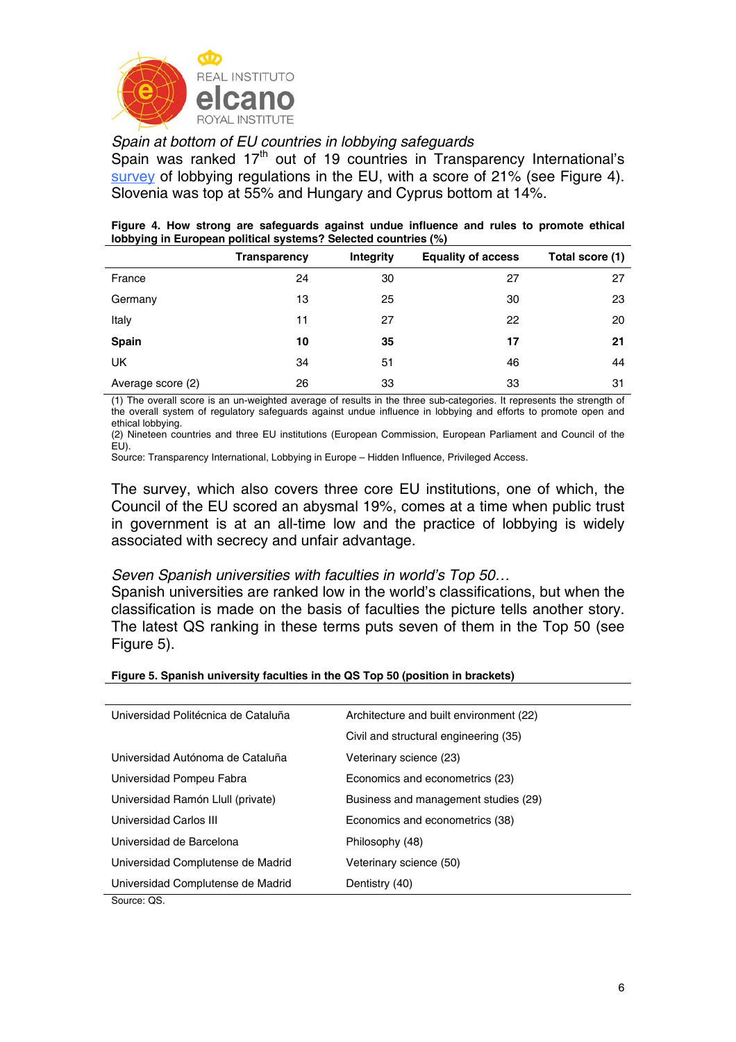

## *Spain at bottom of EU countries in lobbying safeguards*

Spain was ranked  $17<sup>th</sup>$  out of 19 countries in Transparency International's survey of lobbying regulations in the EU, with a score of 21% (see Figure 4). Slovenia was top at 55% and Hungary and Cyprus bottom at 14%.

#### **Figure 4. How strong are safeguards against undue influence and rules to promote ethical lobbying in European political systems? Selected countries (%)**

|                   | <b>Transparency</b> | Integrity | <b>Equality of access</b> | Total score (1) |
|-------------------|---------------------|-----------|---------------------------|-----------------|
| France            | 24                  | 30        | 27                        | 27              |
| Germany           | 13                  | 25        | 30                        | 23              |
| Italy             | 11                  | 27        | 22                        | 20              |
| <b>Spain</b>      | 10                  | 35        | 17                        | 21              |
| UK                | 34                  | 51        | 46                        | 44              |
| Average score (2) | 26                  | 33        | 33                        | 31              |

(1) The overall score is an un-weighted average of results in the three sub-categories. It represents the strength of the overall system of regulatory safeguards against undue influence in lobbying and efforts to promote open and ethical lobbying.

(2) Nineteen countries and three EU institutions (European Commission, European Parliament and Council of the EU).

Source: Transparency International, Lobbying in Europe – Hidden Influence, Privileged Access.

The survey, which also covers three core EU institutions, one of which, the Council of the EU scored an abysmal 19%, comes at a time when public trust in government is at an all-time low and the practice of lobbying is widely associated with secrecy and unfair advantage.

### *Seven Spanish universities with faculties in world's Top 50…*

Spanish universities are ranked low in the world's classifications, but when the classification is made on the basis of faculties the picture tells another story. The latest QS ranking in these terms puts seven of them in the Top 50 (see Figure 5).

#### **Figure 5. Spanish university faculties in the QS Top 50 (position in brackets)**

| Universidad Politécnica de Cataluña | Architecture and built environment (22) |
|-------------------------------------|-----------------------------------------|
|                                     | Civil and structural engineering (35)   |
| Universidad Autónoma de Cataluña    | Veterinary science (23)                 |
| Universidad Pompeu Fabra            | Economics and econometrics (23)         |
| Universidad Ramón Llull (private)   | Business and management studies (29)    |
| Universidad Carlos III              | Economics and econometrics (38)         |
| Universidad de Barcelona            | Philosophy (48)                         |
| Universidad Complutense de Madrid   | Veterinary science (50)                 |
| Universidad Complutense de Madrid   | Dentistry (40)                          |
| Source: OS.                         |                                         |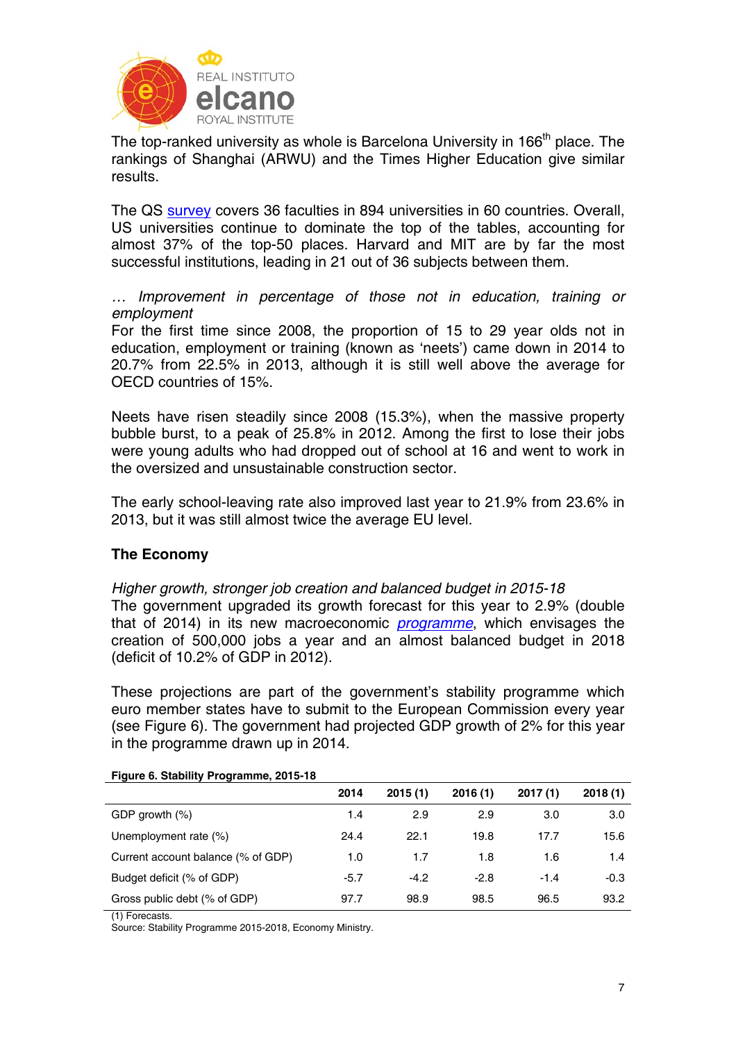

The top-ranked university as whole is Barcelona University in 166<sup>th</sup> place. The rankings of Shanghai (ARWU) and the Times Higher Education give similar results.

The QS survey covers 36 faculties in 894 universities in 60 countries. Overall, US universities continue to dominate the top of the tables, accounting for almost 37% of the top-50 places. Harvard and MIT are by far the most successful institutions, leading in 21 out of 36 subjects between them.

*… Improvement in percentage of those not in education, training or employment* 

For the first time since 2008, the proportion of 15 to 29 year olds not in education, employment or training (known as 'neets') came down in 2014 to 20.7% from 22.5% in 2013, although it is still well above the average for OECD countries of 15%.

Neets have risen steadily since 2008 (15.3%), when the massive property bubble burst, to a peak of 25.8% in 2012. Among the first to lose their jobs were young adults who had dropped out of school at 16 and went to work in the oversized and unsustainable construction sector.

The early school-leaving rate also improved last year to 21.9% from 23.6% in 2013, but it was still almost twice the average EU level.

## **The Economy**

*Higher growth, stronger job creation and balanced budget in 2015-18*  The government upgraded its growth forecast for this year to 2.9% (double that of 2014) in its new macroeconomic *programme*, which envisages the creation of 500,000 jobs a year and an almost balanced budget in 2018 (deficit of 10.2% of GDP in 2012).

These projections are part of the government's stability programme which euro member states have to submit to the European Commission every year (see Figure 6). The government had projected GDP growth of 2% for this year in the programme drawn up in 2014.

|                                    | 2014   | 2015(1) | 2016(1) | 2017(1) | 2018(1) |
|------------------------------------|--------|---------|---------|---------|---------|
| GDP growth $(\%)$                  | 1.4    | 2.9     | 2.9     | 3.0     | 3.0     |
| Unemployment rate (%)              | 24.4   | 22.1    | 19.8    | 17.7    | 15.6    |
| Current account balance (% of GDP) | 1.0    | 1.7     | 1.8     | 1.6     | 1.4     |
| Budget deficit (% of GDP)          | $-5.7$ | $-4.2$  | $-2.8$  | $-1.4$  | $-0.3$  |
| Gross public debt (% of GDP)       | 97.7   | 98.9    | 98.5    | 96.5    | 93.2    |

**Figure 6. Stability Programme, 2015-18** 

(1) Forecasts.

Source: Stability Programme 2015-2018, Economy Ministry.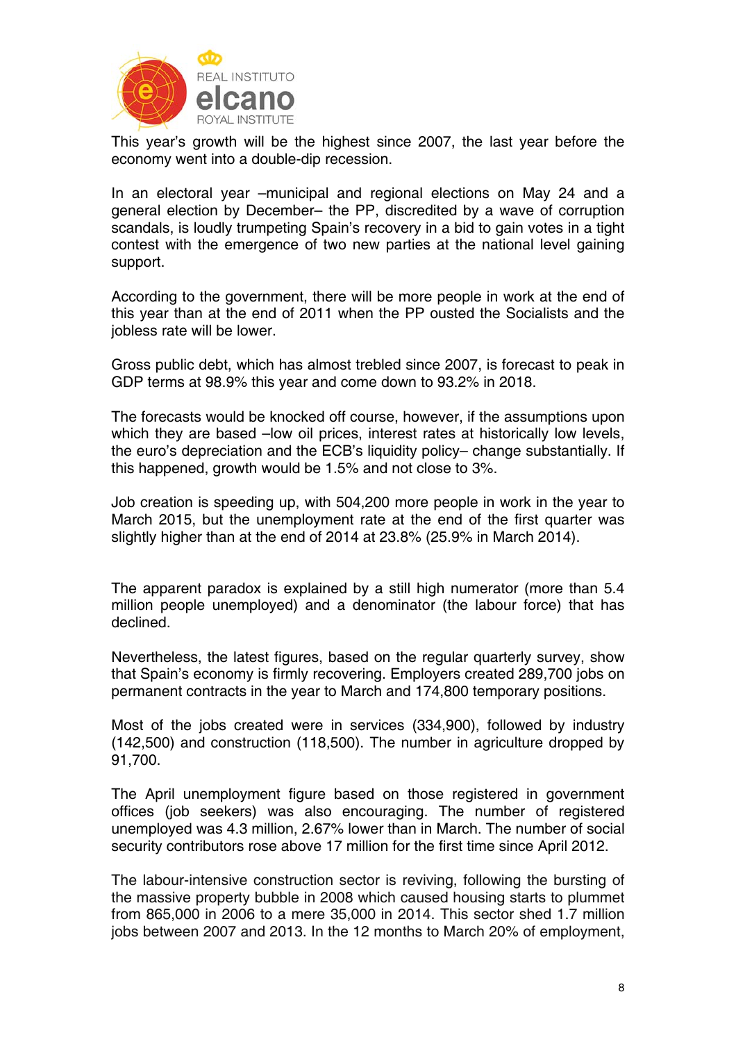

This year's growth will be the highest since 2007, the last year before the economy went into a double-dip recession.

In an electoral year –municipal and regional elections on May 24 and a general election by December– the PP, discredited by a wave of corruption scandals, is loudly trumpeting Spain's recovery in a bid to gain votes in a tight contest with the emergence of two new parties at the national level gaining support.

According to the government, there will be more people in work at the end of this year than at the end of 2011 when the PP ousted the Socialists and the jobless rate will be lower.

Gross public debt, which has almost trebled since 2007, is forecast to peak in GDP terms at 98.9% this year and come down to 93.2% in 2018.

The forecasts would be knocked off course, however, if the assumptions upon which they are based –low oil prices, interest rates at historically low levels, the euro's depreciation and the ECB's liquidity policy– change substantially. If this happened, growth would be 1.5% and not close to 3%.

Job creation is speeding up, with 504,200 more people in work in the year to March 2015, but the unemployment rate at the end of the first quarter was slightly higher than at the end of 2014 at 23.8% (25.9% in March 2014).

The apparent paradox is explained by a still high numerator (more than 5.4 million people unemployed) and a denominator (the labour force) that has declined.

Nevertheless, the latest figures, based on the regular quarterly survey, show that Spain's economy is firmly recovering. Employers created 289,700 jobs on permanent contracts in the year to March and 174,800 temporary positions.

Most of the jobs created were in services (334,900), followed by industry (142,500) and construction (118,500). The number in agriculture dropped by 91,700.

The April unemployment figure based on those registered in government offices (job seekers) was also encouraging. The number of registered unemployed was 4.3 million, 2.67% lower than in March. The number of social security contributors rose above 17 million for the first time since April 2012.

The labour-intensive construction sector is reviving, following the bursting of the massive property bubble in 2008 which caused housing starts to plummet from 865,000 in 2006 to a mere 35,000 in 2014. This sector shed 1.7 million jobs between 2007 and 2013. In the 12 months to March 20% of employment,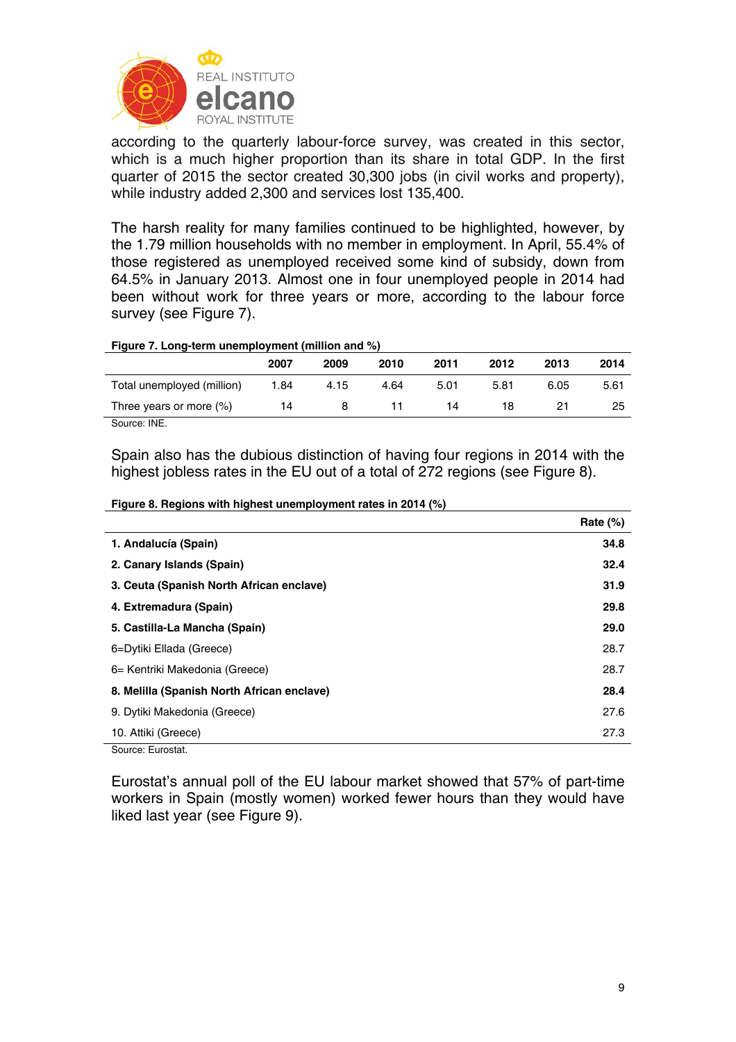

according to the quarterly labour-force survey, was created in this sector, which is a much higher proportion than its share in total GDP. In the first quarter of 2015 the sector created 30,300 jobs (in civil works and property), while industry added 2,300 and services lost 135,400.

The harsh reality for many families continued to be highlighted, however, by the 1.79 million households with no member in employment. In April, 55.4% of those registered as unemployed received some kind of subsidy, down from 64.5% in January 2013. Almost one in four unemployed people in 2014 had been without work for three years or more, according to the labour force survey (see Figure 7).

#### **Figure 7. Long-term unemployment (million and %)**

|                            | 2007 | 2009 | 2010 | 2011 | 2012 | 2013 | 2014 |
|----------------------------|------|------|------|------|------|------|------|
| Total unemployed (million) | 1.84 | 4.15 | 4.64 | 5.01 | 5.81 | 6.05 | 5.61 |
| Three years or more $(\%)$ | 14   |      |      | 14   | 18   |      | 25   |
|                            |      |      |      |      |      |      |      |

Source: INE.

Spain also has the dubious distinction of having four regions in 2014 with the highest jobless rates in the EU out of a total of 272 regions (see Figure 8).

|                                            | Rate $(\%)$ |
|--------------------------------------------|-------------|
| 1. Andalucía (Spain)                       | 34.8        |
| 2. Canary Islands (Spain)                  | 32.4        |
| 3. Ceuta (Spanish North African enclave)   | 31.9        |
| 4. Extremadura (Spain)                     | 29.8        |
| 5. Castilla-La Mancha (Spain)              | 29.0        |
| 6=Dytiki Ellada (Greece)                   | 28.7        |
| 6 = Kentriki Makedonia (Greece)            | 28.7        |
| 8. Melilla (Spanish North African enclave) | 28.4        |
| 9. Dytiki Makedonia (Greece)               | 27.6        |
| 10. Attiki (Greece)                        | 27.3        |
| Courset Europtet                           |             |

Source: Eurostat.

Eurostat's annual poll of the EU labour market showed that 57% of part-time workers in Spain (mostly women) worked fewer hours than they would have liked last year (see Figure 9).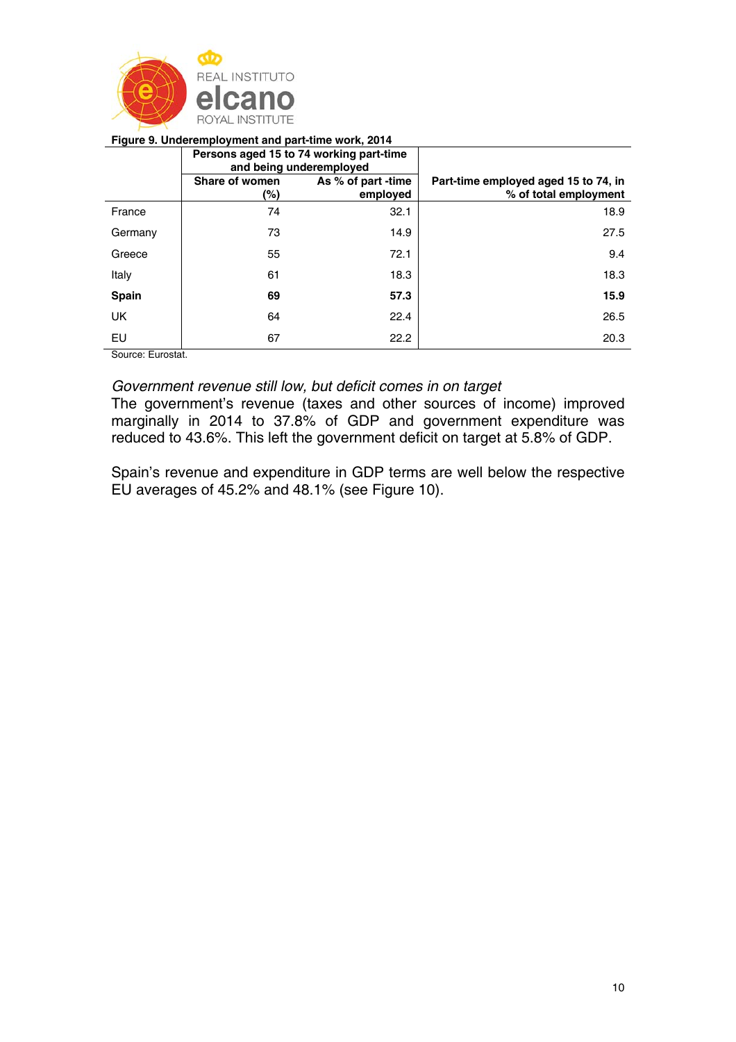

#### **Figure 9. Underemployment and part-time work, 2014**

|           |                       | Persons aged 15 to 74 working part-time<br>and being underemployed |                                                               |
|-----------|-----------------------|--------------------------------------------------------------------|---------------------------------------------------------------|
|           | Share of women<br>(%) | As % of part -time<br>employed                                     | Part-time employed aged 15 to 74, in<br>% of total employment |
| France    | 74                    | 32.1                                                               | 18.9                                                          |
| Germany   | 73                    | 14.9                                                               | 27.5                                                          |
| Greece    | 55                    | 72.1                                                               | 9.4                                                           |
| Italy     | 61                    | 18.3                                                               | 18.3                                                          |
| Spain     | 69                    | 57.3                                                               | 15.9                                                          |
| <b>UK</b> | 64                    | 22.4                                                               | 26.5                                                          |
| EU        | 67                    | 22.2                                                               | 20.3                                                          |

Source: Eurostat.

## *Government revenue still low, but deficit comes in on target*

The government's revenue (taxes and other sources of income) improved marginally in 2014 to 37.8% of GDP and government expenditure was reduced to 43.6%. This left the government deficit on target at 5.8% of GDP.

Spain's revenue and expenditure in GDP terms are well below the respective EU averages of 45.2% and 48.1% (see Figure 10).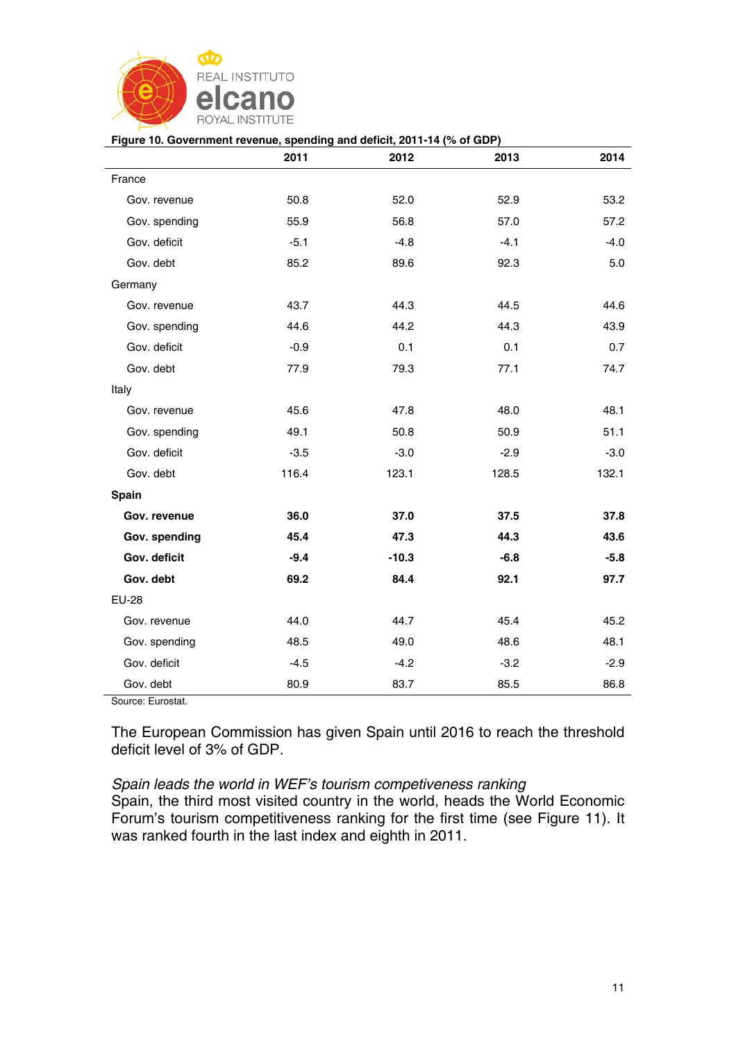

#### **Figure 10. Government revenue, spending and deficit, 2011-14 (% of GDP)**

|               | 2011   | 2012    | 2013   | 2014   |
|---------------|--------|---------|--------|--------|
| France        |        |         |        |        |
| Gov. revenue  | 50.8   | 52.0    | 52.9   | 53.2   |
| Gov. spending | 55.9   | 56.8    | 57.0   | 57.2   |
| Gov. deficit  | $-5.1$ | $-4.8$  | $-4.1$ | $-4.0$ |
| Gov. debt     | 85.2   | 89.6    | 92.3   | 5.0    |
| Germany       |        |         |        |        |
| Gov. revenue  | 43.7   | 44.3    | 44.5   | 44.6   |
| Gov. spending | 44.6   | 44.2    | 44.3   | 43.9   |
| Gov. deficit  | $-0.9$ | 0.1     | 0.1    | 0.7    |
| Gov. debt     | 77.9   | 79.3    | 77.1   | 74.7   |
| Italy         |        |         |        |        |
| Gov. revenue  | 45.6   | 47.8    | 48.0   | 48.1   |
| Gov. spending | 49.1   | 50.8    | 50.9   | 51.1   |
| Gov. deficit  | $-3.5$ | $-3.0$  | $-2.9$ | $-3.0$ |
| Gov. debt     | 116.4  | 123.1   | 128.5  | 132.1  |
| Spain         |        |         |        |        |
| Gov. revenue  | 36.0   | 37.0    | 37.5   | 37.8   |
| Gov. spending | 45.4   | 47.3    | 44.3   | 43.6   |
| Gov. deficit  | $-9.4$ | $-10.3$ | $-6.8$ | $-5.8$ |
| Gov. debt     | 69.2   | 84.4    | 92.1   | 97.7   |
| <b>EU-28</b>  |        |         |        |        |
| Gov. revenue  | 44.0   | 44.7    | 45.4   | 45.2   |
| Gov. spending | 48.5   | 49.0    | 48.6   | 48.1   |
| Gov. deficit  | $-4.5$ | $-4.2$  | $-3.2$ | $-2.9$ |
| Gov. debt     | 80.9   | 83.7    | 85.5   | 86.8   |

Source: Eurostat.

The European Commission has given Spain until 2016 to reach the threshold deficit level of 3% of GDP.

## *Spain leads the world in WEF's tourism competiveness ranking*  Spain, the third most visited country in the world, heads the World Economic Forum's tourism competitiveness ranking for the first time (see Figure 11). It was ranked fourth in the last index and eighth in 2011.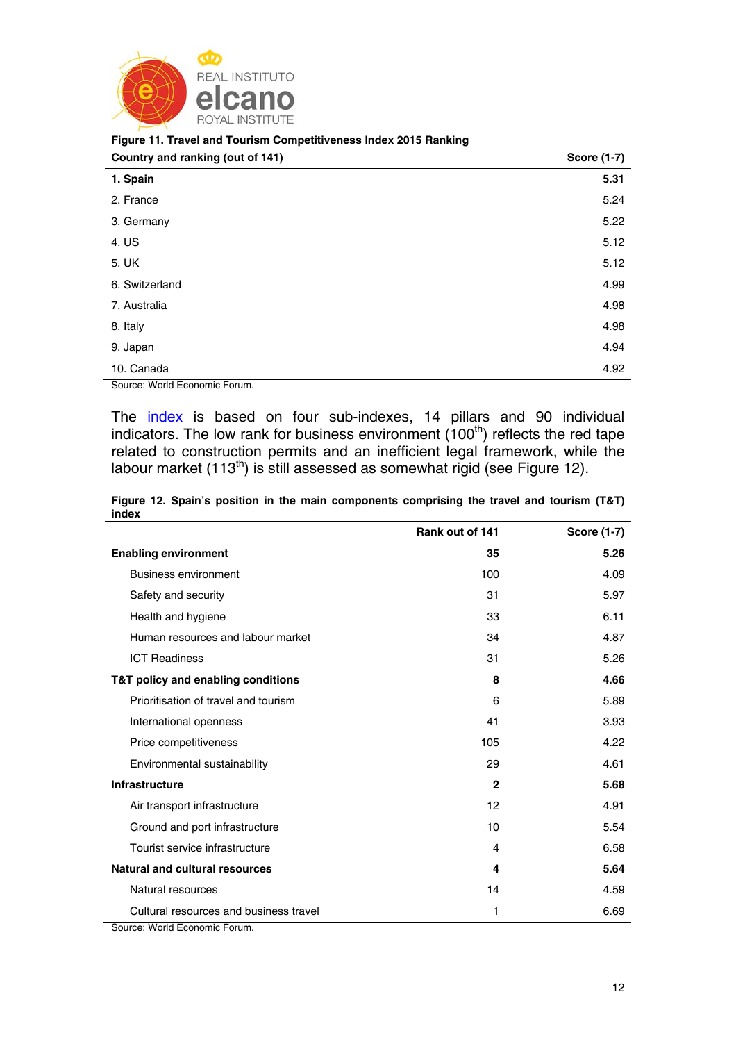

|  | Figure 11. Travel and Tourism Competitiveness Index 2015 Ranking |  |  |
|--|------------------------------------------------------------------|--|--|
|  |                                                                  |  |  |

| Country and ranking (out of 141) | <b>Score (1-7)</b> |
|----------------------------------|--------------------|
| 1. Spain                         | 5.31               |
| 2. France                        | 5.24               |
| 3. Germany                       | 5.22               |
| 4. US                            | 5.12               |
| 5. UK                            | 5.12               |
| 6. Switzerland                   | 4.99               |
| 7. Australia                     | 4.98               |
| 8. Italy                         | 4.98               |
| 9. Japan                         | 4.94               |
| 10. Canada                       | 4.92               |

Source: World Economic Forum.

The *index* is based on four sub-indexes, 14 pillars and 90 individual indicators. The low rank for business environment  $(100<sup>th</sup>)$  reflects the red tape related to construction permits and an inefficient legal framework, while the labour market (113<sup>th</sup>) is still assessed as somewhat rigid (see Figure 12).

|       |  |  | Figure 12. Spain's position in the main components comprising the travel and tourism (T&T) |  |  |  |
|-------|--|--|--------------------------------------------------------------------------------------------|--|--|--|
| index |  |  |                                                                                            |  |  |  |

|                                                                      | Rank out of 141 | <b>Score (1-7)</b> |
|----------------------------------------------------------------------|-----------------|--------------------|
| <b>Enabling environment</b>                                          | 35              | 5.26               |
| <b>Business environment</b>                                          | 100             | 4.09               |
| Safety and security                                                  | 31              | 5.97               |
| Health and hygiene                                                   | 33              | 6.11               |
| Human resources and labour market                                    | 34              | 4.87               |
| <b>ICT Readiness</b>                                                 | 31              | 5.26               |
| T&T policy and enabling conditions                                   | 8               | 4.66               |
| Prioritisation of travel and tourism                                 | 6               | 5.89               |
| International openness                                               | 41              | 3.93               |
| Price competitiveness                                                | 105             | 4.22               |
| Environmental sustainability                                         | 29              | 4.61               |
| <b>Infrastructure</b>                                                | $\mathbf{2}$    | 5.68               |
| Air transport infrastructure                                         | 12              | 4.91               |
| Ground and port infrastructure                                       | 10              | 5.54               |
| Tourist service infrastructure                                       | 4               | 6.58               |
| <b>Natural and cultural resources</b>                                | 4               | 5.64               |
| Natural resources                                                    | 14              | 4.59               |
| Cultural resources and business travel<br>マン・14 しょうよう ロー・マー・エンジン ロー・ | 1               | 6.69               |

Source: World Economic Forum.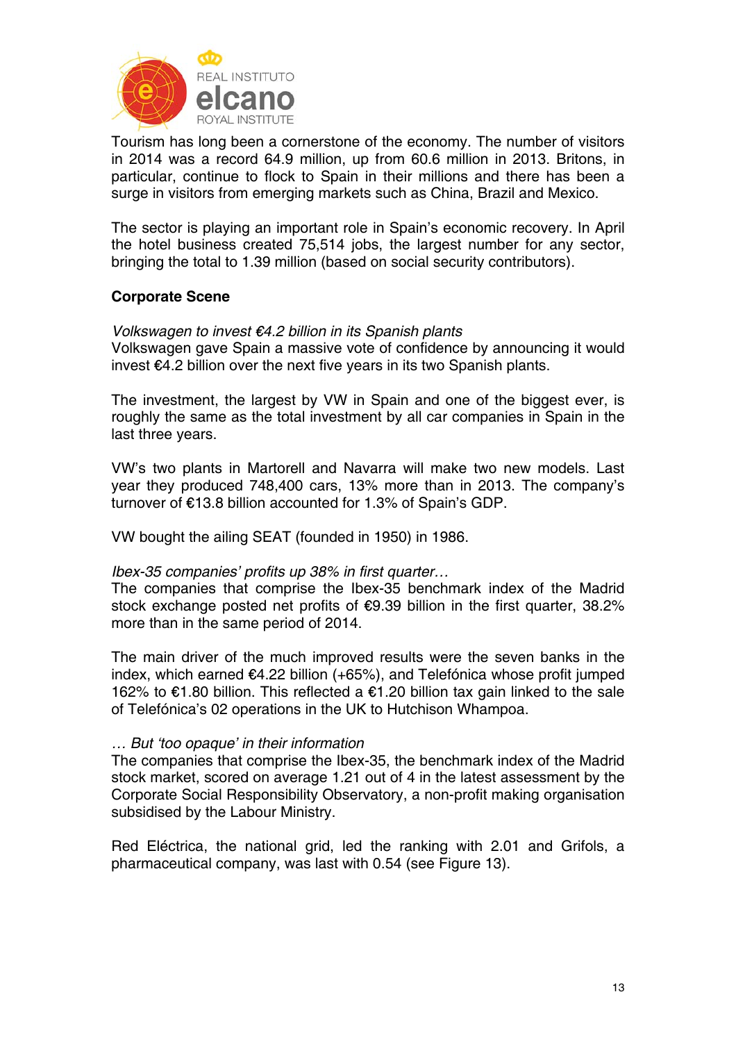

Tourism has long been a cornerstone of the economy. The number of visitors in 2014 was a record 64.9 million, up from 60.6 million in 2013. Britons, in particular, continue to flock to Spain in their millions and there has been a surge in visitors from emerging markets such as China, Brazil and Mexico.

The sector is playing an important role in Spain's economic recovery. In April the hotel business created 75,514 jobs, the largest number for any sector, bringing the total to 1.39 million (based on social security contributors).

## **Corporate Scene**

### *Volkswagen to invest €4.2 billion in its Spanish plants*

Volkswagen gave Spain a massive vote of confidence by announcing it would invest €4.2 billion over the next five years in its two Spanish plants.

The investment, the largest by VW in Spain and one of the biggest ever, is roughly the same as the total investment by all car companies in Spain in the last three years.

VW's two plants in Martorell and Navarra will make two new models. Last year they produced 748,400 cars, 13% more than in 2013. The company's turnover of €13.8 billion accounted for 1.3% of Spain's GDP.

VW bought the ailing SEAT (founded in 1950) in 1986.

### *Ibex-35 companies' profits up 38% in first quarter…*

The companies that comprise the Ibex-35 benchmark index of the Madrid stock exchange posted net profits of €9.39 billion in the first quarter, 38.2% more than in the same period of 2014.

The main driver of the much improved results were the seven banks in the index, which earned €4.22 billion (+65%), and Telefónica whose profit jumped 162% to €1.80 billion. This reflected a €1.20 billion tax gain linked to the sale of Telefónica's 02 operations in the UK to Hutchison Whampoa.

### *… But 'too opaque' in their information*

The companies that comprise the Ibex-35, the benchmark index of the Madrid stock market, scored on average 1.21 out of 4 in the latest assessment by the Corporate Social Responsibility Observatory, a non-profit making organisation subsidised by the Labour Ministry.

Red Eléctrica, the national grid, led the ranking with 2.01 and Grifols, a pharmaceutical company, was last with 0.54 (see Figure 13).